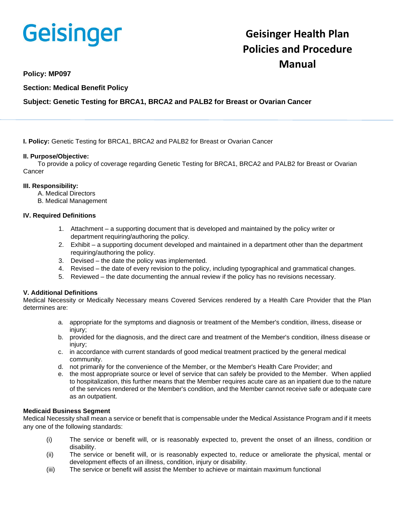

# **Geisinger Health Plan Policies and Procedure Manual**

**Policy: MP097** 

**Section: Medical Benefit Policy**

**Subject: Genetic Testing for BRCA1, BRCA2 and PALB2 for Breast or Ovarian Cancer**

**I. Policy:** Genetic Testing for BRCA1, BRCA2 and PALB2 for Breast or Ovarian Cancer

### **II. Purpose/Objective:**

To provide a policy of coverage regarding Genetic Testing for BRCA1, BRCA2 and PALB2 for Breast or Ovarian **Cancer** 

### **III. Responsibility:**

- A. Medical Directors
- B. Medical Management

### **IV. Required Definitions**

- 1. Attachment a supporting document that is developed and maintained by the policy writer or department requiring/authoring the policy.
- 2. Exhibit a supporting document developed and maintained in a department other than the department requiring/authoring the policy.
- 3. Devised the date the policy was implemented.
- 4. Revised the date of every revision to the policy, including typographical and grammatical changes.
- 5. Reviewed the date documenting the annual review if the policy has no revisions necessary.

#### **V. Additional Definitions**

Medical Necessity or Medically Necessary means Covered Services rendered by a Health Care Provider that the Plan determines are:

- a. appropriate for the symptoms and diagnosis or treatment of the Member's condition, illness, disease or injury;
- b. provided for the diagnosis, and the direct care and treatment of the Member's condition, illness disease or injury;
- c. in accordance with current standards of good medical treatment practiced by the general medical community.
- d. not primarily for the convenience of the Member, or the Member's Health Care Provider; and
- e. the most appropriate source or level of service that can safely be provided to the Member. When applied to hospitalization, this further means that the Member requires acute care as an inpatient due to the nature of the services rendered or the Member's condition, and the Member cannot receive safe or adequate care as an outpatient.

#### **Medicaid Business Segment**

Medical Necessity shall mean a service or benefit that is compensable under the Medical Assistance Program and if it meets any one of the following standards:

- (i) The service or benefit will, or is reasonably expected to, prevent the onset of an illness, condition or disability.
- (ii) The service or benefit will, or is reasonably expected to, reduce or ameliorate the physical, mental or development effects of an illness, condition, injury or disability.
- (iii) The service or benefit will assist the Member to achieve or maintain maximum functional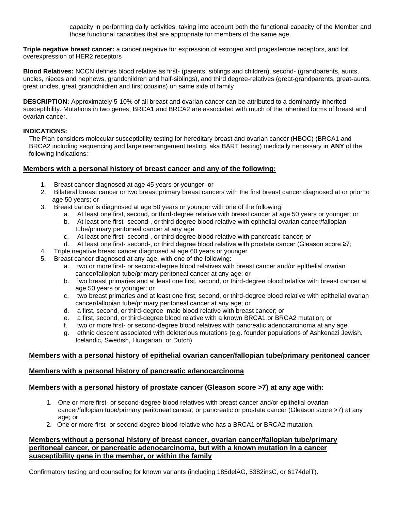capacity in performing daily activities, taking into account both the functional capacity of the Member and those functional capacities that are appropriate for members of the same age.

**Triple negative breast cancer:** a cancer negative for expression of estrogen and progesterone receptors, and for overexpression of HER2 receptors

**Blood Relatives:** NCCN defines blood relative as first- (parents, siblings and children), second- (grandparents, aunts, uncles, nieces and nephews, grandchildren and half-siblings), and third degree-relatives (great-grandparents, great-aunts, great uncles, great grandchildren and first cousins) on same side of family

**DESCRIPTION:** Approximately 5-10% of all breast and ovarian cancer can be attributed to a dominantly inherited susceptibility. Mutations in two genes, BRCA1 and BRCA2 are associated with much of the inherited forms of breast and ovarian cancer.

# **INDICATIONS:**

The Plan considers molecular susceptibility testing for hereditary breast and ovarian cancer (HBOC) (BRCA1 and BRCA2 including sequencing and large rearrangement testing, aka BART testing) medically necessary in **ANY** of the following indications:

# **Members with a personal history of breast cancer and any of the following:**

- 1. Breast cancer diagnosed at age 45 years or younger; or
- 2. Bilateral breast cancer or two breast primary breast cancers with the first breast cancer diagnosed at or prior to age 50 years; or
- 3. Breast cancer is diagnosed at age 50 years or younger with one of the following:
	- a. At least one first, second, or third-degree relative with breast cancer at age 50 years or younger; or
	- b. At least one first- second-, or third degree blood relative with epithelial ovarian cancer/fallopian tube/primary peritoneal cancer at any age
	- c. At least one first- second-, or third degree blood relative with pancreatic cancer; or
	- d. At least one first- second-, or third degree blood relative with prostate cancer (Gleason score ≥7;
- 4. Triple negative breast cancer diagnosed at age 60 years or younger
- 5. Breast cancer diagnosed at any age, with one of the following:
	- a. two or more first- or second-degree blood relatives with breast cancer and/or epithelial ovarian cancer/fallopian tube/primary peritoneal cancer at any age; or
	- b. two breast primaries and at least one first, second, or third-degree blood relative with breast cancer at age 50 years or younger; or
	- c. two breast primaries and at least one first, second, or third-degree blood relative with epithelial ovarian cancer/fallopian tube/primary peritoneal cancer at any age; or
	- d. a first, second, or third-degree male blood relative with breast cancer; or
	- e. a first, second, or third-degree blood relative with a known BRCA1 or BRCA2 mutation; or
	- f. two or more first- or second-degree blood relatives with pancreatic adenocarcinoma at any age
	- g. ethnic descent associated with deleterious mutations (e.g. founder populations of Ashkenazi Jewish, Icelandic, Swedish, Hungarian, or Dutch)

# **Members with a personal history of epithelial ovarian cancer/fallopian tube/primary peritoneal cancer**

# **Members with a personal history of pancreatic adenocarcinoma**

# **Members with a personal history of prostate cancer (Gleason score >7) at any age with:**

- 1. One or more first- or second-degree blood relatives with breast cancer and/or epithelial ovarian cancer/fallopian tube/primary peritoneal cancer, or pancreatic or prostate cancer (Gleason score >7) at any age; or
- 2. One or more first- or second-degree blood relative who has a BRCA1 or BRCA2 mutation.

# **Members without a personal history of breast cancer, ovarian cancer/fallopian tube/primary peritoneal cancer, or pancreatic adenocarcinoma, but with a known mutation in a cancer susceptibility gene in the member, or within the family**

Confirmatory testing and counseling for known variants (including 185delAG, 5382insC, or 6174delT).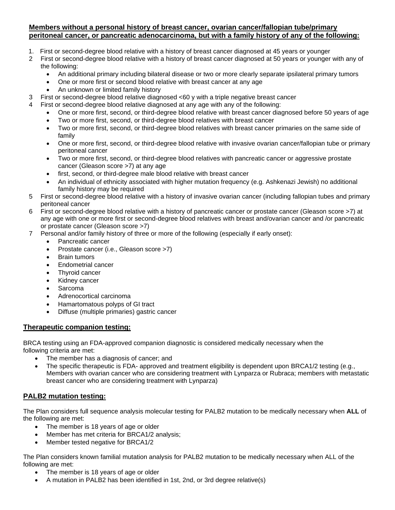# **Members without a personal history of breast cancer, ovarian cancer/fallopian tube/primary peritoneal cancer, or pancreatic adenocarcinoma, but with a family history of any of the following:**

- 1. First or second-degree blood relative with a history of breast cancer diagnosed at 45 years or younger
- 2 First or second-degree blood relative with a history of breast cancer diagnosed at 50 years or younger with any of the following:
	- An additional primary including bilateral disease or two or more clearly separate ipsilateral primary tumors
	- One or more first or second blood relative with breast cancer at any age
	- An unknown or limited family history
- 3 First or second-degree blood relative diagnosed <60 y with a triple negative breast cancer
- 4 First or second-degree blood relative diagnosed at any age with any of the following:
	- One or more first, second, or third-degree blood relative with breast cancer diagnosed before 50 years of age
	- Two or more first, second, or third-degree blood relatives with breast cancer
	- Two or more first, second, or third-degree blood relatives with breast cancer primaries on the same side of family
	- One or more first, second, or third-degree blood relative with invasive ovarian cancer/fallopian tube or primary peritoneal cancer
	- Two or more first, second, or third-degree blood relatives with pancreatic cancer or aggressive prostate cancer (Gleason score >7) at any age
	- first, second, or third-degree male blood relative with breast cancer
	- An individual of ethnicity associated with higher mutation frequency (e.g. Ashkenazi Jewish) no additional family history may be required
- 5 First or second-degree blood relative with a history of invasive ovarian cancer (including fallopian tubes and primary peritoneal cancer
- 6 First or second-degree blood relative with a history of pancreatic cancer or prostate cancer (Gleason score >7) at any age with one or more first or second-degree blood relatives with breast and/ovarian cancer and /or pancreatic or prostate cancer (Gleason score >7)
- 7 Personal and/or family history of three or more of the following (especially if early onset):
	- Pancreatic cancer
	- Prostate cancer (i.e., Gleason score >7)
	- Brain tumors
	- Endometrial cancer
	- Thyroid cancer
	- Kidney cancer
	- **Sarcoma**
	- Adrenocortical carcinoma
	- Hamartomatous polyps of GI tract
	- Diffuse (multiple primaries) gastric cancer

# **Therapeutic companion testing:**

BRCA testing using an FDA-approved companion diagnostic is considered medically necessary when the following criteria are met:

- The member has a diagnosis of cancer; and
- The specific therapeutic is FDA- approved and treatment eligibility is dependent upon BRCA1/2 testing (e.g., Members with ovarian cancer who are considering treatment with Lynparza or Rubraca; members with metastatic breast cancer who are considering treatment with Lynparza)

# **PALB2 mutation testing:**

The Plan considers full sequence analysis molecular testing for PALB2 mutation to be medically necessary when **ALL** of the following are met:

- The member is 18 years of age or older
- Member has met criteria for BRCA1/2 analysis;
- Member tested negative for BRCA1/2

The Plan considers known familial mutation analysis for PALB2 mutation to be medically necessary when ALL of the following are met:

- The member is 18 years of age or older
- A mutation in PALB2 has been identified in 1st, 2nd, or 3rd degree relative(s)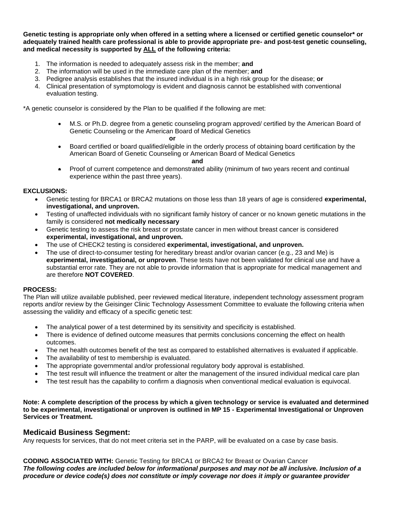**Genetic testing is appropriate only when offered in a setting where a licensed or certified genetic counselor\* or adequately trained health care professional is able to provide appropriate pre- and post-test genetic counseling, and medical necessity is supported by ALL of the following criteria:**

- 1. The information is needed to adequately assess risk in the member; **and**
- 2. The information will be used in the immediate care plan of the member; **and**
- 3. Pedigree analysis establishes that the insured individual is in a high risk group for the disease; **or**
- 4. Clinical presentation of symptomology is evident and diagnosis cannot be established with conventional evaluation testing.

\*A genetic counselor is considered by the Plan to be qualified if the following are met:

*<u>oral control of the state of the state of the state of the state of the state of the state of the state of the state of the state of the state of the state of the state of the state of the state of the state of the stat*</u>

• M.S. or Ph.D. degree from a genetic counseling program approved/ certified by the American Board of Genetic Counseling or the American Board of Medical Genetics

• Board certified or board qualified/eligible in the orderly process of obtaining board certification by the American Board of Genetic Counseling or American Board of Medical Genetics

#### **and**

• Proof of current competence and demonstrated ability (minimum of two years recent and continual experience within the past three years).

## **EXCLUSIONS:**

- Genetic testing for BRCA1 or BRCA2 mutations on those less than 18 years of age is considered **experimental, investigational, and unproven.**
- Testing of unaffected individuals with no significant family history of cancer or no known genetic mutations in the family is considered **not medically necessary**
- Genetic testing to assess the risk breast or prostate cancer in men without breast cancer is considered **experimental, investigational, and unproven.**
- The use of CHECK2 testing is considered **experimental, investigational, and unproven.**
- The use of direct-to-consumer testing for hereditary breast and/or ovarian cancer (e.g., 23 and Me) is **experimental, investigational, or unproven**. These tests have not been validated for clinical use and have a substantial error rate. They are not able to provide information that is appropriate for medical management and are therefore **NOT COVERED**.

# **PROCESS:**

The Plan will utilize available published, peer reviewed medical literature, independent technology assessment program reports and/or review by the Geisinger Clinic Technology Assessment Committee to evaluate the following criteria when assessing the validity and efficacy of a specific genetic test:

- The analytical power of a test determined by its sensitivity and specificity is established.
- There is evidence of defined outcome measures that permits conclusions concerning the effect on health outcomes.
- The net health outcomes benefit of the test as compared to established alternatives is evaluated if applicable.
- The availability of test to membership is evaluated.
- The appropriate governmental and/or professional regulatory body approval is established.
- The test result will influence the treatment or alter the management of the insured individual medical care plan
- The test result has the capability to confirm a diagnosis when conventional medical evaluation is equivocal.

**Note: A complete description of the process by which a given technology or service is evaluated and determined to be experimental, investigational or unproven is outlined in MP 15 - Experimental Investigational or Unproven Services or Treatment.**

# **Medicaid Business Segment:**

Any requests for services, that do not meet criteria set in the PARP, will be evaluated on a case by case basis.

**CODING ASSOCIATED WITH:** Genetic Testing for BRCA1 or BRCA2 for Breast or Ovarian Cancer *The following codes are included below for informational purposes and may not be all inclusive. Inclusion of a procedure or device code(s) does not constitute or imply coverage nor does it imply or guarantee provider*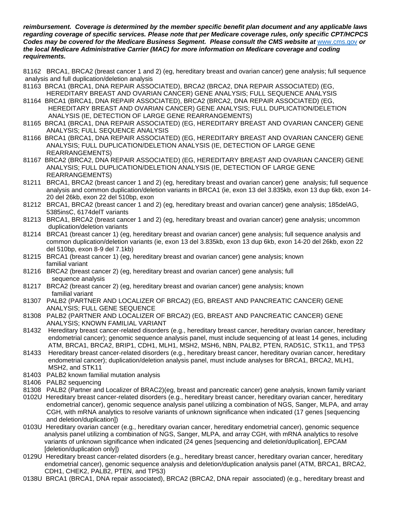*reimbursement. Coverage is determined by the member specific benefit plan document and any applicable laws regarding coverage of specific services. Please note that per Medicare coverage rules, only specific CPT/HCPCS Codes may be covered for the Medicare Business Segment. Please consult the CMS website at* [www.cms.gov](http://www.cms.gov/) *or the local Medicare Administrative Carrier (MAC) for more information on Medicare coverage and coding requirements.*

81162 BRCA1, BRCA2 (breast cancer 1 and 2) (eg, hereditary breast and ovarian cancer) gene analysis; full sequence analysis and full duplication/deletion analysis

- 81163 BRCA1 (BRCA1, DNA REPAIR ASSOCIATED), BRCA2 (BRCA2, DNA REPAIR ASSOCIATED) (EG, HEREDITARY BREAST AND OVARIAN CANCER) GENE ANALYSIS; FULL SEQUENCE ANALYSIS
- 81164 BRCA1 (BRCA1, DNA REPAIR ASSOCIATED), BRCA2 (BRCA2, DNA REPAIR ASSOCIATED) (EG, HEREDITARY BREAST AND OVARIAN CANCER) GENE ANALYSIS; FULL DUPLICATION/DELETION ANALYSIS (IE, DETECTION OF LARGE GENE REARRANGEMENTS)
- 81165 BRCA1 (BRCA1, DNA REPAIR ASSOCIATED) (EG, HEREDITARY BREAST AND OVARIAN CANCER) GENE ANALYSIS; FULL SEQUENCE ANALYSIS
- 81166 BRCA1 (BRCA1, DNA REPAIR ASSOCIATED) (EG, HEREDITARY BREAST AND OVARIAN CANCER) GENE ANALYSIS; FULL DUPLICATION/DELETION ANALYSIS (IE, DETECTION OF LARGE GENE REARRANGEMENTS)
- 81167 BRCA2 (BRCA2, DNA REPAIR ASSOCIATED) (EG, HEREDITARY BREAST AND OVARIAN CANCER) GENE ANALYSIS; FULL DUPLICATION/DELETION ANALYSIS (IE, DETECTION OF LARGE GENE REARRANGEMENTS)
- 81211 BRCA1, BRCA2 (breast cancer 1 and 2) (eg, hereditary breast and ovarian cancer) gene analysis; full sequence analysis and common duplication/deletion variants in BRCA1 (ie, exon 13 del 3.835kb, exon 13 dup 6kb, exon 14- 20 del 26kb, exon 22 del 510bp, exon
- 81212 BRCA1, BRCA2 (breast cancer 1 and 2) (eg, hereditary breast and ovarian cancer) gene analysis; 185delAG, 5385insC, 6174delT variants
- 81213 BRCA1, BRCA2 (breast cancer 1 and 2) (eg, hereditary breast and ovarian cancer) gene analysis; uncommon duplication/deletion variants
- 81214 BRCA1 (breast cancer 1) (eg, hereditary breast and ovarian cancer) gene analysis; full sequence analysis and common duplication/deletion variants (ie, exon 13 del 3.835kb, exon 13 dup 6kb, exon 14-20 del 26kb, exon 22 del 510bp, exon 8-9 del 7.1kb)
- 81215 BRCA1 (breast cancer 1) (eg, hereditary breast and ovarian cancer) gene analysis; known familial variant
- 81216 BRCA2 (breast cancer 2) (eg, hereditary breast and ovarian cancer) gene analysis; full sequence analysis
- 81217 BRCA2 (breast cancer 2) (eg, hereditary breast and ovarian cancer) gene analysis; known familial variant
- 81307 PALB2 (PARTNER AND LOCALIZER OF BRCA2) (EG, BREAST AND PANCREATIC CANCER) GENE ANALYSIS; FULL GENE SEQUENCE
- 81308 PALB2 (PARTNER AND LOCALIZER OF BRCA2) (EG, BREAST AND PANCREATIC CANCER) GENE ANALYSIS; KNOWN FAMILIAL VARIANT
- 81432 Hereditary breast cancer-related disorders (e.g., hereditary breast cancer, hereditary ovarian cancer, hereditary endometrial cancer); genomic sequence analysis panel, must include sequencing of at least 14 genes, including ATM, BRCA1, BRCA2, BRIP1, CDH1, MLH1, MSH2, MSH6, NBN, PALB2, PTEN, RAD51C, STK11, and TP53
- 81433 Hereditary breast cancer-related disorders (e.g., hereditary breast cancer, hereditary ovarian cancer, hereditary endometrial cancer); duplication/deletion analysis panel, must include analyses for BRCA1, BRCA2, MLH1, MSH2, and STK11
- 81403 PALB2 known familial mutation analysis
- 81406 PALB2 sequencing
- 81308 PALB2 (Partner and Localizer of BRAC2)(eg, breast and pancreatic cancer) gene analysis, known family variant
- 0102U Hereditary breast cancer-related disorders (e.g., hereditary breast cancer, hereditary ovarian cancer, hereditary endometrial cancer), genomic sequence analysis panel utilizing a combination of NGS, Sanger, MLPA, and array CGH, with mRNA analytics to resolve variants of unknown significance when indicated (17 genes [sequencing and deletion/duplication])
- 0103U Hereditary ovarian cancer (e.g., hereditary ovarian cancer, hereditary endometrial cancer), genomic sequence analysis panel utilizing a combination of NGS, Sanger, MLPA, and array CGH, with mRNA analytics to resolve variants of unknown significance when indicated (24 genes [sequencing and deletion/duplication], EPCAM [deletion/duplication only])
- 0129U Hereditary breast cancer-related disorders (e.g., hereditary breast cancer, hereditary ovarian cancer, hereditary endometrial cancer), genomic sequence analysis and deletion/duplication analysis panel (ATM, BRCA1, BRCA2, CDH1, CHEK2, PALB2, PTEN, and TP53)
- 0138U BRCA1 (BRCA1, DNA repair associated), BRCA2 (BRCA2, DNA repair associated) (e.g., hereditary breast and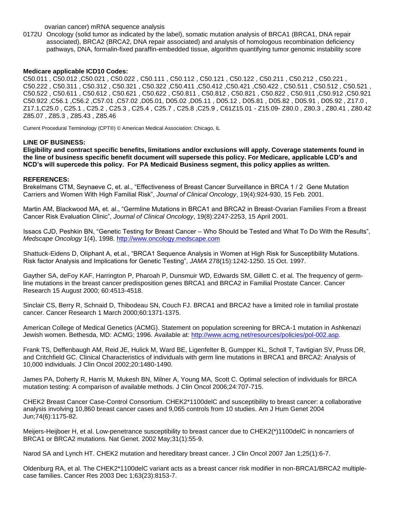ovarian cancer) mRNA sequence analysis

0172U Oncology (solid tumor as indicated by the label), somatic mutation analysis of BRCA1 (BRCA1, DNA repair associated), BRCA2 (BRCA2, DNA repair associated) and analysis of homologous recombination deficiency pathways, DNA, formalin-fixed paraffin-embedded tissue, algorithm quantifying tumor genomic instability score

#### **Medicare applicable ICD10 Codes:**

C50.011 , C50.012 ,C50.021 , C50.022 , C50.111 , C50.112 , C50.121 , C50.122 , C50.211 , C50.212 , C50.221 , C50.222 , C50.311 , C50.312 , C50.321 , C50.322 ,C50.411 ,C50.412 ,C50.421 ,C50.422 , C50.511 , C50.512 , C50.521 , C50.522 , C50.611 , C50.612 , C50.621 , C50.622 , C50.811 , C50.812 , C50.821 , C50.822 , C50.911 ,C50.912 ,C50.921 C50.922 ,C56.1 ,C56.2 ,C57.01 ,C57.02 ,D05.01, D05.02 ,D05.11 , D05.12 , D05.81 , D05.82 , D05.91 , D05.92 , Z17.0 , Z17.1,C25.0 , C25.1 , C25.2 , C25.3 , C25.4 , C25.7 , C25.8 ,C25.9 , C61Z15.01 - Z15.09- Z80.0 , Z80.3 , Z80.41 , Z80.42 Z85.07 , Z85.3 , Z85.43 , Z85.46

Current Procedural Terminology (CPT®) © American Medical Association: Chicago, IL

#### **LINE OF BUSINESS:**

**Eligibility and contract specific benefits, limitations and/or exclusions will apply. Coverage statements found in the line of business specific benefit document will supersede this policy. For Medicare, applicable LCD's and NCD's will supercede this policy. For PA Medicaid Business segment, this policy applies as written.**

#### **REFERENCES:**

Brekelmans CTM, Seynaeve C, et. al., "Effectiveness of Breast Cancer Surveillance in BRCA 1 / 2 Gene Mutation Carriers and Women With High Familial Risk", *Journal of Clinical Oncology*, 19(4):924-930, 15 Feb. 2001.

Martin AM, Blackwood MA, et. al., "Germline Mutations in BRCA1 and BRCA2 in Breast-Ovarian Families From a Breast Cancer Risk Evaluation Clinic", *Journal of Clinical Oncology*, 19(8):2247-2253, 15 April 2001.

Issacs CJD, Peshkin BN, "Genetic Testing for Breast Cancer – Who Should be Tested and What To Do With the Results", *Medscape Oncology* 1(4), 1998. [http://www.oncology.medscape.com](http://www.oncology.medscape.com/)

Shattuck-Eidens D, Oliphant A, et.al., "BRCA1 Sequence Analysis in Women at High Risk for Susceptibility Mutations. Risk factor Analysis and Implications for Genetic Testing", *JAMA* 278(15):1242-1250. 15 Oct. 1997.

Gayther SA, deFoy KAF, Harrington P, Pharoah P, Dunsmuir WD, Edwards SM, Gillett C. et al. The frequency of germline mutations in the breast cancer predisposition genes BRCA1 and BRCA2 in Familial Prostate Cancer. Cancer Research 15 August 2000; 60:4513-4518.

Sinclair CS, Berry R, Schnaid D, Thibodeau SN, Couch FJ. BRCA1 and BRCA2 have a limited role in familial prostate cancer. Cancer Research 1 March 2000;60:1371-1375.

American College of Medical Genetics (ACMG). Statement on population screening for BRCA-1 mutation in Ashkenazi Jewish women. Bethesda, MD: ACMG; 1996. Available at: [http://www.acmg.net/resources/policies/pol-002.asp.](http://www.acmg.net/resources/policies/pol-002.asp)

Frank TS, Deffenbaugh AM, Reid JE, Hulick M, Ward BE, Ligenfelter B, Gumpper KL, Scholl T, Tavtigian SV, Pruss DR, and Critchfield GC. Clinical Characteristics of individuals with germ line mutations in BRCA1 and BRCA2: Analysis of 10,000 individuals. J Clin Oncol 2002;20:1480-1490.

James PA, Doherty R, Harris M, Mukesh BN, Milner A, Young MA, Scott C. Optimal selection of individuals for BRCA mutation testing: A comparison of available methods. J Clin Oncol 2006;24:707-715.

CHEK2 Breast Cancer Case-Control Consortium. CHEK2\*1100delC and susceptibility to breast cancer: a collaborative analysis involving 10,860 breast cancer cases and 9,065 controls from 10 studies. Am J Hum Genet 2004 Jun;74(6):1175-82.

Meijers-Heijboer H, et al. Low-penetrance susceptibility to breast cancer due to CHEK2(\*)1100delC in noncarriers of BRCA1 or BRCA2 mutations. Nat Genet. 2002 May;31(1):55-9.

Narod SA and Lynch HT. CHEK2 mutation and hereditary breast cancer. J Clin Oncol 2007 Jan 1;25(1):6-7.

Oldenburg RA, et al. The CHEK2\*1100delC variant acts as a breast cancer risk modifier in non-BRCA1/BRCA2 multiplecase families. Cancer Res 2003 Dec 1;63(23):8153-7.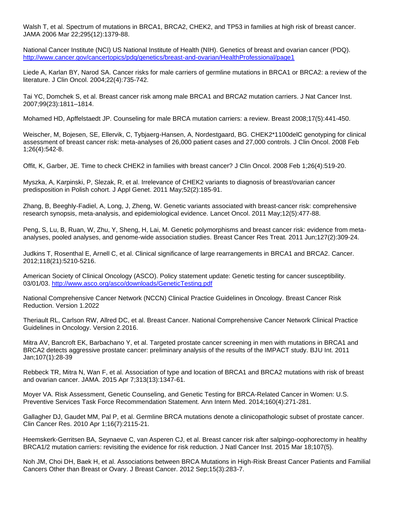Walsh T, et al. Spectrum of mutations in BRCA1, BRCA2, CHEK2, and TP53 in families at high risk of breast cancer. JAMA 2006 Mar 22;295(12):1379-88.

National Cancer Institute (NCI) US National Institute of Health (NIH). Genetics of breast and ovarian cancer (PDQ). <http://www.cancer.gov/cancertopics/pdq/genetics/breast-and-ovarian/HealthProfessional/page1>

Liede A, Karlan BY, Narod SA. Cancer risks for male carriers of germline mutations in BRCA1 or BRCA2: a review of the literature. J Clin Oncol. 2004;22(4):735-742.

Tai YC, Domchek S, et al. Breast cancer risk among male BRCA1 and BRCA2 mutation carriers. J Nat Cancer Inst. 2007;99(23):1811–1814.

Mohamed HD, Apffelstaedt JP. Counseling for male BRCA mutation carriers: a review. Breast 2008;17(5):441-450.

Weischer, M, Bojesen, SE, Ellervik, C, Tybjaerg-Hansen, A, Nordestgaard, BG. CHEK2\*1100delC genotyping for clinical assessment of breast cancer risk: meta-analyses of 26,000 patient cases and 27,000 controls. J Clin Oncol. 2008 Feb 1;26(4):542-8.

Offit, K, Garber, JE. Time to check CHEK2 in families with breast cancer? J Clin Oncol. 2008 Feb 1;26(4):519-20.

Myszka, A, Karpinski, P, Slezak, R, et al. Irrelevance of CHEK2 variants to diagnosis of breast/ovarian cancer predisposition in Polish cohort. J Appl Genet. 2011 May;52(2):185-91.

Zhang, B, Beeghly-Fadiel, A, Long, J, Zheng, W. Genetic variants associated with breast-cancer risk: comprehensive research synopsis, meta-analysis, and epidemiological evidence. Lancet Oncol. 2011 May;12(5):477-88.

Peng, S, Lu, B, Ruan, W, Zhu, Y, Sheng, H, Lai, M. Genetic polymorphisms and breast cancer risk: evidence from metaanalyses, pooled analyses, and genome-wide association studies. Breast Cancer Res Treat*.* 2011 Jun;127(2):309-24.

Judkins T, Rosenthal E, Arnell C, et al. Clinical significance of large rearrangements in BRCA1 and BRCA2. Cancer. 2012;118(21):5210-5216.

American Society of Clinical Oncology (ASCO). Policy statement update: Genetic testing for cancer susceptibility. 03/01/03.<http://www.asco.org/asco/downloads/GeneticTesting.pdf>

National Comprehensive Cancer Network (NCCN) Clinical Practice Guidelines in Oncology. Breast Cancer Risk Reduction. Version 1.2022

Theriault RL, Carlson RW, Allred DC, et al. Breast Cancer. National Comprehensive Cancer Network Clinical Practice Guidelines in Oncology. Version 2.2016.

Mitra AV, Bancroft EK, Barbachano Y, et al. Targeted prostate cancer screening in men with mutations in BRCA1 and BRCA2 detects aggressive prostate cancer: preliminary analysis of the results of the IMPACT study. BJU Int. 2011 Jan;107(1):28-39

Rebbeck TR, Mitra N, Wan F, et al. Association of type and location of BRCA1 and BRCA2 mutations with risk of breast and ovarian cancer. JAMA. 2015 Apr 7;313(13):1347-61.

Moyer VA. Risk Assessment, Genetic Counseling, and Genetic Testing for BRCA-Related Cancer in Women: U.S. Preventive Services Task Force Recommendation Statement. Ann Intern Med. 2014;160(4):271-281.

Gallagher DJ, Gaudet MM, Pal P, et al. Germline BRCA mutations denote a clinicopathologic subset of prostate cancer. Clin Cancer Res. 2010 Apr 1;16(7):2115-21.

Heemskerk-Gerritsen BA, Seynaeve C, van Asperen CJ, et al. Breast cancer risk after salpingo-oophorectomy in healthy BRCA1/2 mutation carriers: revisiting the evidence for risk reduction. J Natl Cancer Inst. 2015 Mar 18;107(5).

Noh JM, Choi DH, Baek H, et al. Associations between BRCA Mutations in High-Risk Breast Cancer Patients and Familial Cancers Other than Breast or Ovary. J Breast Cancer. 2012 Sep;15(3):283-7.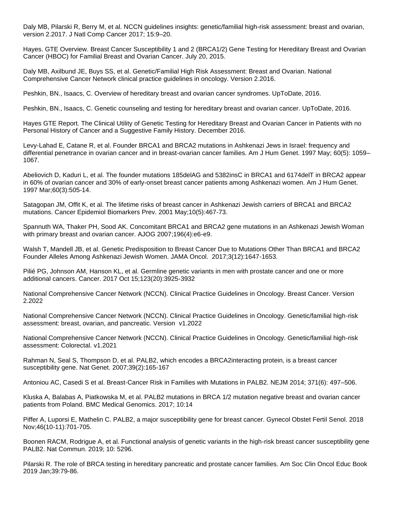Daly MB, Pilarski R, Berry M, et al. NCCN guidelines insights: genetic/familial high-risk assessment: breast and ovarian, version 2.2017. J Natl Comp Cancer 2017; 15:9–20.

Hayes. GTE Overview. Breast Cancer Susceptibility 1 and 2 (BRCA1/2) Gene Testing for Hereditary Breast and Ovarian Cancer (HBOC) for Familial Breast and Ovarian Cancer. July 20, 2015.

Daly MB, Axilbund JE, Buys SS, et al. Genetic/Familial High Risk Assessment: Breast and Ovarian. National Comprehensive Cancer Network clinical practice guidelines in oncology. Version 2.2016.

Peshkin, BN., Isaacs, C. Overview of hereditary breast and ovarian cancer syndromes. UpToDate, 2016.

Peshkin, BN., Isaacs, C. Genetic counseling and testing for hereditary breast and ovarian cancer. UpToDate, 2016.

Hayes GTE Report. The Clinical Utility of Genetic Testing for Hereditary Breast and Ovarian Cancer in Patients with no Personal History of Cancer and a Suggestive Family History. December 2016.

Levy-Lahad E, Catane R, et al. Founder BRCA1 and BRCA2 mutations in Ashkenazi Jews in Israel: frequency and differential penetrance in ovarian cancer and in breast-ovarian cancer families. Am J Hum Genet. 1997 May; 60(5): 1059– 1067.

Abeliovich D, Kaduri L, et al. The founder mutations 185delAG and 5382insC in BRCA1 and 6174delT in BRCA2 appear in 60% of ovarian cancer and 30% of early-onset breast cancer patients among Ashkenazi women. Am J Hum Genet. 1997 Mar;60(3):505-14.

Satagopan JM, Offit K, et al. The lifetime risks of breast cancer in Ashkenazi Jewish carriers of BRCA1 and BRCA2 mutations. Cancer Epidemiol Biomarkers Prev. 2001 May;10(5):467-73.

Spannuth WA, Thaker PH, Sood AK. Concomitant BRCA1 and BRCA2 gene mutations in an Ashkenazi Jewish Woman with primary breast and ovarian cancer. AJOG 2007;196(4):e6-e9.

Walsh T, Mandell JB, et al. Genetic Predisposition to Breast Cancer Due to Mutations Other Than BRCA1 and BRCA2 Founder Alleles Among Ashkenazi Jewish Women. JAMA Oncol. 2017;3(12):1647-1653.

Pilié PG, Johnson AM, Hanson KL, et al. Germline genetic variants in men with prostate cancer and one or more additional cancers. Cancer. 2017 Oct 15;123(20):3925-3932

National Comprehensive Cancer Network (NCCN). Clinical Practice Guidelines in Oncology. Breast Cancer. Version 2.2022

National Comprehensive Cancer Network (NCCN). Clinical Practice Guidelines in Oncology. Genetic/familial high-risk assessment: breast, ovarian, and pancreatic. Version v1.2022

National Comprehensive Cancer Network (NCCN). Clinical Practice Guidelines in Oncology. Genetic/familial high-risk assessment: Colorectal. v1.2021

Rahman N, Seal S, Thompson D, et al. PALB2, which encodes a BRCA2interacting protein, is a breast cancer susceptibility gene. Nat Genet. 2007;39(2):165-167

Antoniou AC, Casedi S et al. Breast-Cancer Risk in Families with Mutations in PALB2. NEJM 2014; 371(6): 497–506.

Kluska A, Balabas A, Piatkowska M, et al. PALB2 mutations in BRCA 1/2 mutation negative breast and ovarian cancer patients from Poland. BMC Medical Genomics. 2017; 10:14

Piffer A, Luporsi E, Mathelin C. PALB2, a major susceptibility gene for breast cancer. Gynecol Obstet Fertil Senol. 2018 Nov;46(10-11):701-705.

Boonen RACM, Rodrigue A, et al. Functional analysis of genetic variants in the high-risk breast cancer susceptibility gene PALB2. Nat Commun. 2019; 10: 5296.

Pilarski R. The role of BRCA testing in hereditary pancreatic and prostate cancer families. Am Soc Clin Oncol Educ Book 2019 Jan;39:79-86.